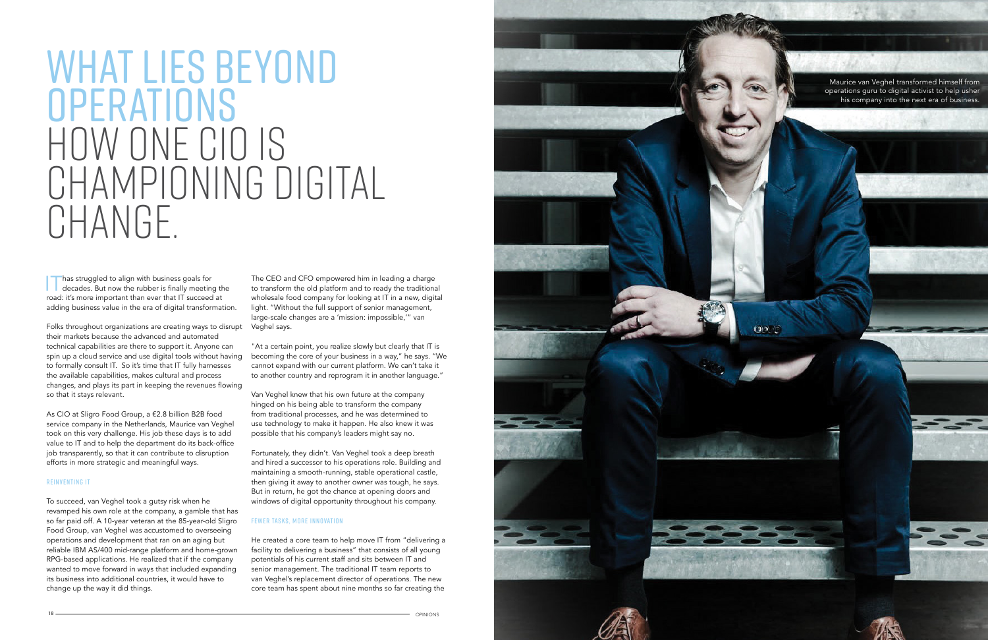

 $(90^\circ)^2$ 

## WHAT LIES BEYOND **OPERATIONS** HOW ONE CIO IS championing digital CHANGE.

**Thas struggled to align with business goals for decades.** But now the rubber is finally meeting the road: it's more important than ever that IT succeed at adding business value in the era of digital transformation.

Folks throughout organizations are creating ways to disrupt Veghel says. their markets because the advanced and automated technical capabilities are there to support it. Anyone can spin up a cloud service and use digital tools without having to formally consult IT. So it's time that IT fully harnesses the available capabilities, makes cultural and process changes, and plays its part in keeping the revenues flowing so that it stays relevant.

As CIO at Sligro Food Group, a €2.8 billion B2B food service company in the Netherlands, Maurice van Veghel took on this very challenge. His job these days is to add value to IT and to help the department do its back-office job transparently, so that it can contribute to disruption efforts in more strategic and meaningful ways.

## Reinventing IT

To succeed, van Veghel took a gutsy risk when he revamped his own role at the company, a gamble that has so far paid off. A 10-year veteran at the 85-year-old Sligro Food Group, van Veghel was accustomed to overseeing operations and development that ran on an aging but reliable IBM AS/400 mid-range platform and home-grown RPG-based applications. He realized that if the company wanted to move forward in ways that included expanding its business into additional countries, it would have to change up the way it did things.

Maurice van Veghel transformed himself from operations guru to digital activist to help usher his company into the next era of business.

The CEO and CFO empowered him in leading a charge to transform the old platform and to ready the traditional wholesale food company for looking at IT in a new, digital light. "Without the full support of senior management, large-scale changes are a 'mission: impossible,'" van

"At a certain point, you realize slowly but clearly that IT is becoming the core of your business in a way," he says. "We cannot expand with our current platform. We can't take it to another country and reprogram it in another language."

Van Veghel knew that his own future at the company hinged on his being able to transform the company from traditional processes, and he was determined to use technology to make it happen. He also knew it was possible that his company's leaders might say no.

Fortunately, they didn't. Van Veghel took a deep breath and hired a successor to his operations role. Building and maintaining a smooth-running, stable operational castle, then giving it away to another owner was tough, he says. But in return, he got the chance at opening doors and windows of digital opportunity throughout his company.

## Fewer Tasks, More Innovation

He created a core team to help move IT from "delivering a facility to delivering a business" that consists of all young potentials of his current staff and sits between IT and senior management. The traditional IT team reports to van Veghel's replacement director of operations. The new core team has spent about nine months so far creating the